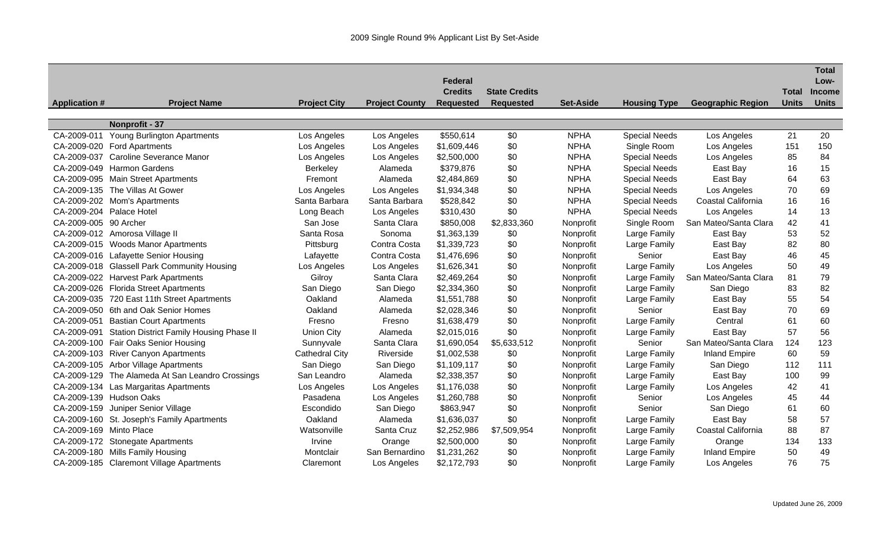|                         |                                                  |                     |                       |                  |                      |                  |                      |                          |              | <b>Total</b>  |
|-------------------------|--------------------------------------------------|---------------------|-----------------------|------------------|----------------------|------------------|----------------------|--------------------------|--------------|---------------|
|                         |                                                  |                     |                       | Federal          |                      |                  |                      |                          |              | Low-          |
|                         |                                                  |                     |                       | <b>Credits</b>   | <b>State Credits</b> |                  |                      |                          | <b>Total</b> | <b>Income</b> |
| <b>Application #</b>    | <b>Project Name</b>                              | <b>Project City</b> | <b>Project County</b> | <b>Requested</b> | <b>Requested</b>     | <b>Set-Aside</b> | <b>Housing Type</b>  | <b>Geographic Region</b> | <b>Units</b> | <b>Units</b>  |
|                         |                                                  |                     |                       |                  |                      |                  |                      |                          |              |               |
|                         | Nonprofit - 37                                   |                     |                       |                  |                      |                  |                      |                          |              |               |
| CA-2009-011             | <b>Young Burlington Apartments</b>               | Los Angeles         | Los Angeles           | \$550,614        | \$0                  | <b>NPHA</b>      | <b>Special Needs</b> | Los Angeles              | 21           | 20            |
|                         | CA-2009-020 Ford Apartments                      | Los Angeles         | Los Angeles           | \$1,609,446      | \$0                  | <b>NPHA</b>      | Single Room          | Los Angeles              | 151          | 150           |
| CA-2009-037             | <b>Caroline Severance Manor</b>                  | Los Angeles         | Los Angeles           | \$2,500,000      | \$0                  | <b>NPHA</b>      | <b>Special Needs</b> | Los Angeles              | 85           | 84            |
| CA-2009-049             | <b>Harmon Gardens</b>                            | <b>Berkeley</b>     | Alameda               | \$379,876        | \$0                  | <b>NPHA</b>      | <b>Special Needs</b> | East Bay                 | 16           | 15            |
|                         | CA-2009-095 Main Street Apartments               | Fremont             | Alameda               | \$2,484,869      | \$0                  | <b>NPHA</b>      | <b>Special Needs</b> | East Bay                 | 64           | 63            |
|                         | CA-2009-135 The Villas At Gower                  | Los Angeles         | Los Angeles           | \$1,934,348      | \$0                  | <b>NPHA</b>      | <b>Special Needs</b> | Los Angeles              | 70           | 69            |
|                         | CA-2009-202 Mom's Apartments                     | Santa Barbara       | Santa Barbara         | \$528,842        | \$0                  | <b>NPHA</b>      | <b>Special Needs</b> | Coastal California       | 16           | 16            |
|                         | CA-2009-204 Palace Hotel                         | Long Beach          | Los Angeles           | \$310,430        | \$0                  | <b>NPHA</b>      | <b>Special Needs</b> | Los Angeles              | 14           | 13            |
| CA-2009-005 90 Archer   |                                                  | San Jose            | Santa Clara           | \$850,008        | \$2,833,360          | Nonprofit        | Single Room          | San Mateo/Santa Clara    | 42           | 41            |
|                         | CA-2009-012 Amorosa Village II                   | Santa Rosa          | Sonoma                | \$1,363,139      | \$0                  | Nonprofit        | Large Family         | East Bay                 | 53           | 52            |
|                         | CA-2009-015 Woods Manor Apartments               | Pittsburg           | Contra Costa          | \$1,339,723      | \$0                  | Nonprofit        | Large Family         | East Bay                 | 82           | 80            |
|                         | CA-2009-016 Lafayette Senior Housing             | Lafayette           | Contra Costa          | \$1,476,696      | \$0                  | Nonprofit        | Senior               | East Bay                 | 46           | 45            |
|                         | CA-2009-018 Glassell Park Community Housing      | Los Angeles         | Los Angeles           | \$1,626,341      | \$0                  | Nonprofit        | Large Family         | Los Angeles              | 50           | 49            |
|                         | CA-2009-022 Harvest Park Apartments              | Gilroy              | Santa Clara           | \$2,469,264      | \$0                  | Nonprofit        | Large Family         | San Mateo/Santa Clara    | 81           | 79            |
|                         | CA-2009-026 Florida Street Apartments            | San Diego           | San Diego             | \$2,334,360      | \$0                  | Nonprofit        | Large Family         | San Diego                | 83           | 82            |
|                         | CA-2009-035 720 East 11th Street Apartments      | Oakland             | Alameda               | \$1,551,788      | \$0                  | Nonprofit        | Large Family         | East Bay                 | 55           | 54            |
|                         | CA-2009-050 6th and Oak Senior Homes             | Oakland             | Alameda               | \$2,028,346      | \$0                  | Nonprofit        | Senior               | East Bay                 | 70           | 69            |
| CA-2009-051             | <b>Bastian Court Apartments</b>                  | Fresno              | Fresno                | \$1,638,479      | \$0                  | Nonprofit        | Large Family         | Central                  | 61           | 60            |
| CA-2009-091             | <b>Station District Family Housing Phase II</b>  | <b>Union City</b>   | Alameda               | \$2,015,016      | \$0                  | Nonprofit        | Large Family         | East Bay                 | 57           | 56            |
|                         | CA-2009-100 Fair Oaks Senior Housing             | Sunnyvale           | Santa Clara           | \$1,690,054      | \$5,633,512          | Nonprofit        | Senior               | San Mateo/Santa Clara    | 124          | 123           |
|                         | CA-2009-103 River Canyon Apartments              | Cathedral City      | Riverside             | \$1,002,538      | \$0                  | Nonprofit        | Large Family         | <b>Inland Empire</b>     | 60           | 59            |
|                         | CA-2009-105 Arbor Village Apartments             | San Diego           | San Diego             | \$1,109,117      | \$0                  | Nonprofit        | Large Family         | San Diego                | 112          | 111           |
|                         | CA-2009-129 The Alameda At San Leandro Crossings | San Leandro         | Alameda               | \$2,338,357      | \$0                  | Nonprofit        | Large Family         | East Bay                 | 100          | 99            |
|                         | CA-2009-134 Las Margaritas Apartments            | Los Angeles         | Los Angeles           | \$1,176,038      | \$0                  | Nonprofit        | Large Family         | Los Angeles              | 42           | 41            |
|                         | CA-2009-139 Hudson Oaks                          | Pasadena            | Los Angeles           | \$1,260,788      | \$0                  | Nonprofit        | Senior               | Los Angeles              | 45           | 44            |
|                         | CA-2009-159 Juniper Senior Village               | Escondido           | San Diego             | \$863,947        | \$0                  | Nonprofit        | Senior               | San Diego                | 61           | 60            |
|                         | CA-2009-160 St. Joseph's Family Apartments       | Oakland             | Alameda               | \$1,636,037      | \$0                  | Nonprofit        | Large Family         | East Bay                 | 58           | 57            |
| CA-2009-169 Minto Place |                                                  | Watsonville         | Santa Cruz            | \$2,252,986      | \$7,509,954          | Nonprofit        | Large Family         | Coastal California       | 88           | 87            |
|                         | CA-2009-172 Stonegate Apartments                 | Irvine              | Orange                | \$2,500,000      | \$0                  | Nonprofit        | Large Family         | Orange                   | 134          | 133           |
|                         | CA-2009-180 Mills Family Housing                 | Montclair           | San Bernardino        | \$1,231,262      | \$0                  | Nonprofit        | Large Family         | <b>Inland Empire</b>     | 50           | 49            |
|                         | CA-2009-185 Claremont Village Apartments         | Claremont           | Los Angeles           | \$2,172,793      | \$0                  | Nonprofit        | Large Family         | Los Angeles              | 76           | 75            |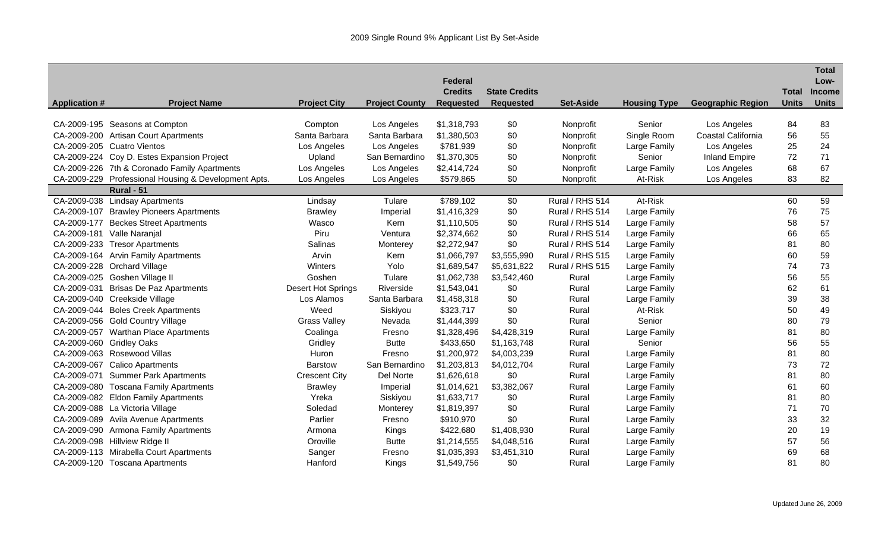|                      |                                              |                      |                       |                  |                      |                  |                     |                          |              | <b>Total</b>  |
|----------------------|----------------------------------------------|----------------------|-----------------------|------------------|----------------------|------------------|---------------------|--------------------------|--------------|---------------|
|                      |                                              |                      |                       | <b>Federal</b>   |                      |                  |                     |                          |              | Low-          |
|                      |                                              |                      |                       | <b>Credits</b>   | <b>State Credits</b> |                  |                     |                          | <b>Total</b> | <b>Income</b> |
| <b>Application #</b> | <b>Project Name</b>                          | <b>Project City</b>  | <b>Project County</b> | <b>Requested</b> | <b>Requested</b>     | <b>Set-Aside</b> | <b>Housing Type</b> | <b>Geographic Region</b> | <b>Units</b> | <b>Units</b>  |
|                      | CA-2009-195 Seasons at Compton               | Compton              | Los Angeles           | \$1,318,793      | \$0                  | Nonprofit        | Senior              | Los Angeles              | 84           | 83            |
|                      | CA-2009-200 Artisan Court Apartments         | Santa Barbara        | Santa Barbara         | \$1,380,503      | \$0                  | Nonprofit        | Single Room         | Coastal California       | 56           | 55            |
|                      | CA-2009-205 Cuatro Vientos                   | Los Angeles          | Los Angeles           | \$781,939        | \$0                  | Nonprofit        | Large Family        | Los Angeles              | 25           | 24            |
|                      | CA-2009-224 Coy D. Estes Expansion Project   | Upland               | San Bernardino        | \$1,370,305      | \$0                  | Nonprofit        | Senior              | <b>Inland Empire</b>     | 72           | 71            |
|                      | CA-2009-226 7th & Coronado Family Apartments | Los Angeles          | Los Angeles           | \$2,414,724      | \$0                  | Nonprofit        | Large Family        | Los Angeles              | 68           | 67            |
| CA-2009-229          | Professional Housing & Development Apts.     | Los Angeles          | Los Angeles           | \$579,865        | \$0                  | Nonprofit        | At-Risk             | Los Angeles              | 83           | 82            |
|                      | <b>Rural - 51</b>                            |                      |                       |                  |                      |                  |                     |                          |              |               |
| CA-2009-038          | <b>Lindsay Apartments</b>                    | Lindsay              | Tulare                | \$789,102        | \$0                  | Rural / RHS 514  | At-Risk             |                          | 60           | 59            |
| CA-2009-107          | <b>Brawley Pioneers Apartments</b>           | <b>Brawley</b>       | Imperial              | \$1,416,329      | \$0                  | Rural / RHS 514  | Large Family        |                          | 76           | 75            |
| CA-2009-177          | <b>Beckes Street Apartments</b>              | Wasco                | Kern                  | \$1,110,505      | \$0                  | Rural / RHS 514  | Large Family        |                          | 58           | 57            |
| CA-2009-181          | Valle Naranjal                               | Piru                 | Ventura               | \$2,374,662      | \$0                  | Rural / RHS 514  | Large Family        |                          | 66           | 65            |
| CA-2009-233          | <b>Tresor Apartments</b>                     | Salinas              | Monterey              | \$2,272,947      | \$0                  | Rural / RHS 514  | Large Family        |                          | 81           | 80            |
|                      | CA-2009-164 Arvin Family Apartments          | Arvin                | Kern                  | \$1,066,797      | \$3,555,990          | Rural / RHS 515  | Large Family        |                          | 60           | 59            |
|                      | CA-2009-228 Orchard Village                  | Winters              | Yolo                  | \$1,689,547      | \$5,631,822          | Rural / RHS 515  | Large Family        |                          | 74           | 73            |
|                      | CA-2009-025 Goshen Village II                | Goshen               | Tulare                | \$1,062,738      | \$3,542,460          | Rural            | Large Family        |                          | 56           | 55            |
| CA-2009-031          | <b>Brisas De Paz Apartments</b>              | Desert Hot Springs   | Riverside             | \$1,543,041      | \$0                  | Rural            | Large Family        |                          | 62           | 61            |
| CA-2009-040          | Creekside Village                            | Los Alamos           | Santa Barbara         | \$1,458,318      | \$0                  | Rural            | Large Family        |                          | 39           | 38            |
|                      | CA-2009-044 Boles Creek Apartments           | Weed                 | Siskiyou              | \$323,717        | \$0                  | Rural            | At-Risk             |                          | 50           | 49            |
|                      | CA-2009-056 Gold Country Village             | <b>Grass Valley</b>  | Nevada                | \$1,444,399      | \$0                  | Rural            | Senior              |                          | 80           | 79            |
|                      | CA-2009-057 Warthan Place Apartments         | Coalinga             | Fresno                | \$1,328,496      | \$4,428,319          | Rural            | Large Family        |                          | 81           | 80            |
|                      | CA-2009-060 Gridley Oaks                     | Gridley              | <b>Butte</b>          | \$433,650        | \$1,163,748          | Rural            | Senior              |                          | 56           | 55            |
|                      | CA-2009-063 Rosewood Villas                  | Huron                | Fresno                | \$1,200,972      | \$4,003,239          | Rural            | Large Family        |                          | 81           | 80            |
|                      | CA-2009-067 Calico Apartments                | <b>Barstow</b>       | San Bernardino        | \$1,203,813      | \$4,012,704          | Rural            | Large Family        |                          | 73           | 72            |
| CA-2009-071          | <b>Summer Park Apartments</b>                | <b>Crescent City</b> | Del Norte             | \$1,626,618      | \$0                  | Rural            | Large Family        |                          | 81           | 80            |
| CA-2009-080          | <b>Toscana Family Apartments</b>             | <b>Brawley</b>       | Imperial              | \$1,014,621      | \$3,382,067          | Rural            | Large Family        |                          | 61           | 60            |
|                      | CA-2009-082 Eldon Family Apartments          | Yreka                | Siskiyou              | \$1,633,717      | \$0                  | Rural            | Large Family        |                          | 81           | 80            |
|                      | CA-2009-088 La Victoria Village              | Soledad              | Monterey              | \$1,819,397      | \$0                  | Rural            | Large Family        |                          | 71           | 70            |
|                      | CA-2009-089 Avila Avenue Apartments          | Parlier              | Fresno                | \$910,970        | \$0                  | Rural            | Large Family        |                          | 33           | 32            |
|                      | CA-2009-090 Armona Family Apartments         | Armona               | Kings                 | \$422,680        | \$1,408,930          | Rural            | Large Family        |                          | 20           | 19            |
|                      | CA-2009-098 Hillview Ridge II                | Oroville             | <b>Butte</b>          | \$1,214,555      | \$4,048,516          | Rural            | Large Family        |                          | 57           | 56            |
|                      | CA-2009-113 Mirabella Court Apartments       | Sanger               | Fresno                | \$1,035,393      | \$3,451,310          | Rural            | Large Family        |                          | 69           | 68            |
|                      | CA-2009-120 Toscana Apartments               | Hanford              | Kings                 | \$1,549,756      | \$0                  | Rural            | Large Family        |                          | 81           | 80            |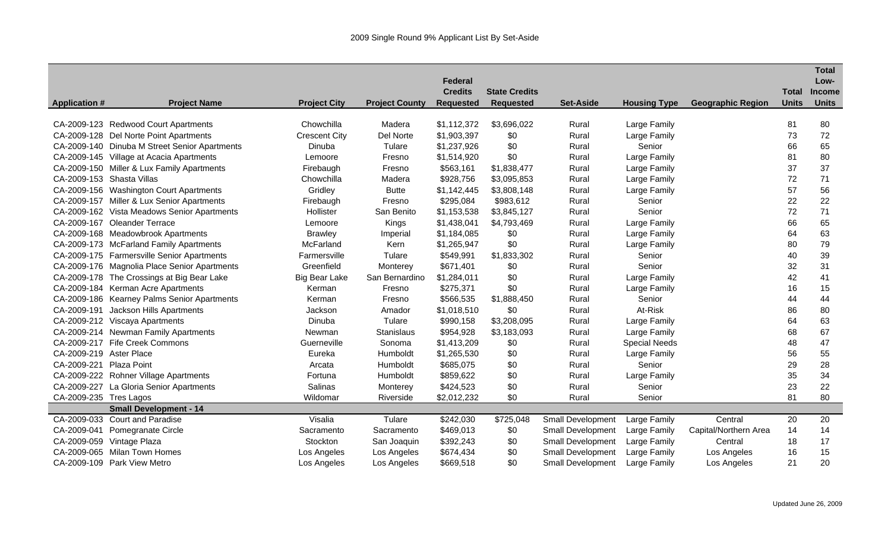|                         |                                               |                      |                       |                  |                      |                          |                      |                          |              | <b>Total</b>  |
|-------------------------|-----------------------------------------------|----------------------|-----------------------|------------------|----------------------|--------------------------|----------------------|--------------------------|--------------|---------------|
|                         |                                               |                      |                       | Federal          |                      |                          |                      |                          |              | Low-          |
|                         |                                               |                      |                       | <b>Credits</b>   | <b>State Credits</b> |                          |                      |                          | <b>Total</b> | <b>Income</b> |
| <b>Application #</b>    | <b>Project Name</b>                           | <b>Project City</b>  | <b>Project County</b> | <b>Requested</b> | <b>Requested</b>     | <b>Set-Aside</b>         | <b>Housing Type</b>  | <b>Geographic Region</b> | <b>Units</b> | <b>Units</b>  |
|                         | CA-2009-123 Redwood Court Apartments          | Chowchilla           | Madera                | \$1,112,372      | \$3,696,022          | Rural                    | Large Family         |                          | 81           | 80            |
|                         | CA-2009-128 Del Norte Point Apartments        | <b>Crescent City</b> | Del Norte             | \$1,903,397      | \$0                  | Rural                    | Large Family         |                          | 73           | 72            |
|                         | CA-2009-140 Dinuba M Street Senior Apartments | Dinuba               | Tulare                | \$1,237,926      | \$0                  | Rural                    | Senior               |                          | 66           | 65            |
|                         | CA-2009-145 Village at Acacia Apartments      | Lemoore              | Fresno                | \$1,514,920      | \$0                  | Rural                    | Large Family         |                          | 81           | 80            |
|                         | CA-2009-150 Miller & Lux Family Apartments    | Firebaugh            | Fresno                | \$563,161        | \$1,838,477          | Rural                    | Large Family         |                          | 37           | 37            |
|                         | CA-2009-153 Shasta Villas                     | Chowchilla           | Madera                | \$928,756        | \$3,095,853          | Rural                    | Large Family         |                          | 72           | 71            |
|                         | CA-2009-156 Washington Court Apartments       | Gridley              | <b>Butte</b>          | \$1,142,445      | \$3,808,148          | Rural                    | Large Family         |                          | 57           | 56            |
|                         | CA-2009-157 Miller & Lux Senior Apartments    | Firebaugh            | Fresno                | \$295,084        | \$983,612            | Rural                    | Senior               |                          | 22           | 22            |
|                         | CA-2009-162 Vista Meadows Senior Apartments   | Hollister            | San Benito            | \$1,153,538      | \$3,845,127          | Rural                    | Senior               |                          | 72           | 71            |
|                         | CA-2009-167 Oleander Terrace                  | Lemoore              | Kings                 | \$1,438,041      | \$4,793,469          | Rural                    | Large Family         |                          | 66           | 65            |
|                         | CA-2009-168 Meadowbrook Apartments            | <b>Brawley</b>       | Imperial              | \$1,184,085      | \$0                  | Rural                    | Large Family         |                          | 64           | 63            |
|                         | CA-2009-173 McFarland Family Apartments       | McFarland            | Kern                  | \$1,265,947      | \$0                  | Rural                    | Large Family         |                          | 80           | 79            |
|                         | CA-2009-175 Farmersville Senior Apartments    | Farmersville         | Tulare                | \$549,991        | \$1,833,302          | Rural                    | Senior               |                          | 40           | 39            |
|                         | CA-2009-176 Magnolia Place Senior Apartments  | Greenfield           | Monterey              | \$671,401        | \$0                  | Rural                    | Senior               |                          | 32           | 31            |
|                         | CA-2009-178 The Crossings at Big Bear Lake    | <b>Big Bear Lake</b> | San Bernardino        | \$1,284,011      | \$0                  | Rural                    | Large Family         |                          | 42           | 41            |
|                         | CA-2009-184 Kerman Acre Apartments            | Kerman               | Fresno                | \$275,371        | \$0                  | Rural                    | Large Family         |                          | 16           | 15            |
|                         | CA-2009-186 Kearney Palms Senior Apartments   | Kerman               | Fresno                | \$566,535        | \$1,888,450          | Rural                    | Senior               |                          | 44           | 44            |
|                         | CA-2009-191 Jackson Hills Apartments          | Jackson              | Amador                | \$1,018,510      | \$0                  | Rural                    | At-Risk              |                          | 86           | 80            |
|                         | CA-2009-212 Viscaya Apartments                | Dinuba               | Tulare                | \$990,158        | \$3,208,095          | Rural                    | Large Family         |                          | 64           | 63            |
|                         | CA-2009-214 Newman Family Apartments          | Newman               | Stanislaus            | \$954,928        | \$3,183,093          | Rural                    | Large Family         |                          | 68           | 67            |
|                         | CA-2009-217 Fife Creek Commons                | Guerneville          | Sonoma                | \$1,413,209      | \$0                  | Rural                    | <b>Special Needs</b> |                          | 48           | 47            |
| CA-2009-219 Aster Place |                                               | Eureka               | Humboldt              | \$1,265,530      | \$0                  | Rural                    | Large Family         |                          | 56           | 55            |
| CA-2009-221 Plaza Point |                                               | Arcata               | Humboldt              | \$685,075        | \$0                  | Rural                    | Senior               |                          | 29           | 28            |
|                         | CA-2009-222 Rohner Village Apartments         | Fortuna              | Humboldt              | \$859,622        | \$0                  | Rural                    | Large Family         |                          | 35           | 34            |
|                         | CA-2009-227 La Gloria Senior Apartments       | Salinas              | Monterey              | \$424,523        | \$0                  | Rural                    | Senior               |                          | 23           | 22            |
| CA-2009-235 Tres Lagos  |                                               | Wildomar             | Riverside             | \$2,012,232      | \$0                  | Rural                    | Senior               |                          | 81           | 80            |
|                         | <b>Small Development - 14</b>                 |                      |                       |                  |                      |                          |                      |                          |              |               |
| CA-2009-033             | <b>Court and Paradise</b>                     | Visalia              | Tulare                | \$242,030        | \$725,048            | <b>Small Development</b> | Large Family         | Central                  | 20           | 20            |
| CA-2009-041             | Pomegranate Circle                            | Sacramento           | Sacramento            | \$469,013        | \$0                  | <b>Small Development</b> | Large Family         | Capital/Northern Area    | 14           | 14            |
| CA-2009-059             | Vintage Plaza                                 | Stockton             | San Joaquin           | \$392,243        | \$0                  | <b>Small Development</b> | Large Family         | Central                  | 18           | 17            |
| CA-2009-065             | <b>Milan Town Homes</b>                       | Los Angeles          | Los Angeles           | \$674,434        | \$0                  | <b>Small Development</b> | Large Family         | Los Angeles              | 16           | 15            |
|                         | CA-2009-109 Park View Metro                   | Los Angeles          | Los Angeles           | \$669,518        | \$0                  | <b>Small Development</b> | Large Family         | Los Angeles              | 21           | 20            |